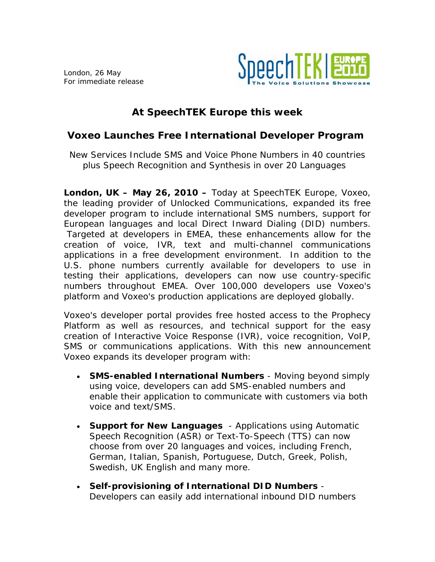London, 26 May For immediate release



# **At SpeechTEK Europe this week**

## **Voxeo Launches Free International Developer Program**

*New Services Include SMS and Voice Phone Numbers in 40 countries plus Speech Recognition and Synthesis in over 20 Languages* 

**London, UK – May 26, 2010 –** Today at SpeechTEK Europe, Voxeo, the leading provider of Unlocked Communications, expanded its free developer program to include international SMS numbers, support for European languages and local Direct Inward Dialing (DID) numbers. Targeted at developers in EMEA, these enhancements allow for the creation of voice, IVR, text and multi-channel communications applications in a free development environment. In addition to the U.S. phone numbers currently available for developers to use in testing their applications, developers can now use country-specific numbers throughout EMEA. Over 100,000 developers use Voxeo's platform and Voxeo's production applications are deployed globally.

Voxeo's developer portal provides free hosted access to the Prophecy Platform as well as resources, and technical support for the easy creation of Interactive Voice Response (IVR), voice recognition, VoIP, SMS or communications applications. With this new announcement Voxeo expands its developer program with:

- **SMS-enabled International Numbers** Moving beyond simply using voice, developers can add SMS-enabled numbers and enable their application to communicate with customers via both voice and text/SMS.
- **Support for New Languages**  Applications using Automatic Speech Recognition (ASR) or Text-To-Speech (TTS) can now choose from over 20 languages and voices, including French, German, Italian, Spanish, Portuguese, Dutch, Greek, Polish, Swedish, UK English and many more.
- **Self-provisioning of International DID Numbers** Developers can easily add international inbound DID numbers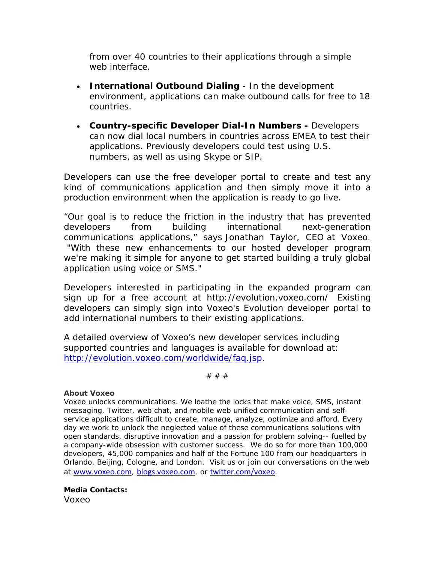from over 40 countries to their applications through a simple web interface.

- **International Outbound Dialing** In the development environment, applications can make outbound calls for free to 18 countries.
- **Country-specific Developer Dial-In Numbers** Developers can now dial local numbers in countries across EMEA to test their applications. Previously developers could test using U.S. numbers, as well as using Skype or SIP.

Developers can use the free developer portal to create and test any kind of communications application and then simply move it into a production environment when the application is ready to go live.

"Our goal is to reduce the friction in the industry that has prevented developers from building international next-generation communications applications," says Jonathan Taylor, CEO at Voxeo. "With these new enhancements to our hosted developer program we're making it simple for anyone to get started building a truly global application using voice or SMS."

Developers interested in participating in the expanded program can sign up for a free account at http://evolution.voxeo.com/ Existing developers can simply sign into Voxeo's Evolution developer portal to add international numbers to their existing applications.

A detailed overview of Voxeo's new developer services including supported countries and languages is available for download at: [http://evolution.voxeo.com/worldwide/faq.jsp.](http://evolution.voxeo.com/worldwide/faq.jsp)

# # #

## **About Voxeo**

Voxeo unlocks communications. We loathe the locks that make voice, SMS, instant messaging, Twitter, web chat, and mobile web unified communication and selfservice applications difficult to create, manage, analyze, optimize and afford. Every day we work to unlock the neglected value of these communications solutions with open standards, disruptive innovation and a passion for problem solving-- fuelled by a company-wide obsession with customer success. We do so for more than 100,000 developers, 45,000 companies and half of the Fortune 100 from our headquarters in Orlando, Beijing, Cologne, and London. Visit us or join our conversations on the web at [www.voxeo.com](https://docs.google.com/Documents%20and%20Settings/darren.mills/Documents%20and%20Settings/swinterkamp/Local%20Settings/Temporary%20Internet%20Files/Content.Outlook/1KRMRP6G/www.voxeo.com), [blogs.voxeo.com](https://docs.google.com/Documents%20and%20Settings/darren.mills/Documents%20and%20Settings/swinterkamp/Local%20Settings/Temporary%20Internet%20Files/Content.Outlook/1KRMRP6G/blogs.voxeo.com), or [twitter.com/voxeo](http://www.twitter.com/voxeo).

**Media Contacts:** Voxeo